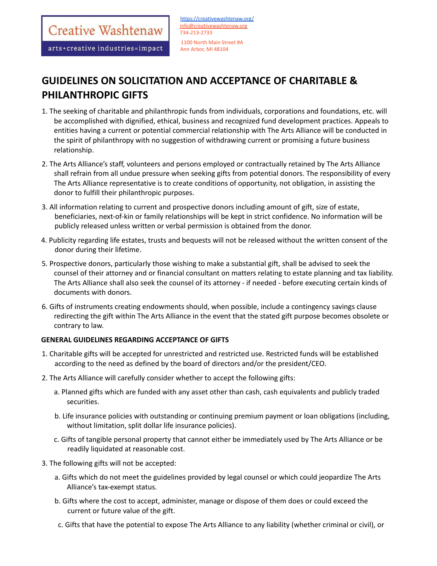Creative Washtenaw

arts+creative industries=impact

# **GUIDELINES ON SOLICITATION AND ACCEPTANCE OF CHARITABLE & PHILANTHROPIC GIFTS**

- 1. The seeking of charitable and philanthropic funds from individuals, corporations and foundations, etc. will be accomplished with dignified, ethical, business and recognized fund development practices. Appeals to entities having a current or potential commercial relationship with The Arts Alliance will be conducted in the spirit of philanthropy with no suggestion of withdrawing current or promising a future business relationship.
- 2. The Arts Alliance's staff, volunteers and persons employed or contractually retained by The Arts Alliance shall refrain from all undue pressure when seeking gifts from potential donors. The responsibility of every The Arts Alliance representative is to create conditions of opportunity, not obligation, in assisting the donor to fulfill their philanthropic purposes.
- 3. All information relating to current and prospective donors including amount of gift, size of estate, beneficiaries, next-of-kin or family relationships will be kept in strict confidence. No information will be publicly released unless written or verbal permission is obtained from the donor.
- 4. Publicity regarding life estates, trusts and bequests will not be released without the written consent of the donor during their lifetime.
- 5. Prospective donors, particularly those wishing to make a substantial gift, shall be advised to seek the counsel of their attorney and or financial consultant on matters relating to estate planning and tax liability. The Arts Alliance shall also seek the counsel of its attorney - if needed - before executing certain kinds of documents with donors.
- 6. Gifts of instruments creating endowments should, when possible, include a contingency savings clause redirecting the gift within The Arts Alliance in the event that the stated gift purpose becomes obsolete or contrary to law.

# **GENERAL GUIDELINES REGARDING ACCEPTANCE OF GIFTS**

- 1. Charitable gifts will be accepted for unrestricted and restricted use. Restricted funds will be established according to the need as defined by the board of directors and/or the president/CEO.
- 2. The Arts Alliance will carefully consider whether to accept the following gifts:
	- a. Planned gifts which are funded with any asset other than cash, cash equivalents and publicly traded securities.
	- b. Life insurance policies with outstanding or continuing premium payment or loan obligations (including, without limitation, split dollar life insurance policies).
	- c. Gifts of tangible personal property that cannot either be immediately used by The Arts Alliance or be readily liquidated at reasonable cost.
- 3. The following gifts will not be accepted:
	- a. Gifts which do not meet the guidelines provided by legal counsel or which could jeopardize The Arts Alliance's tax-exempt status.
	- b. Gifts where the cost to accept, administer, manage or dispose of them does or could exceed the current or future value of the gift.
	- c. Gifts that have the potential to expose The Arts Alliance to any liability (whether criminal or civil), or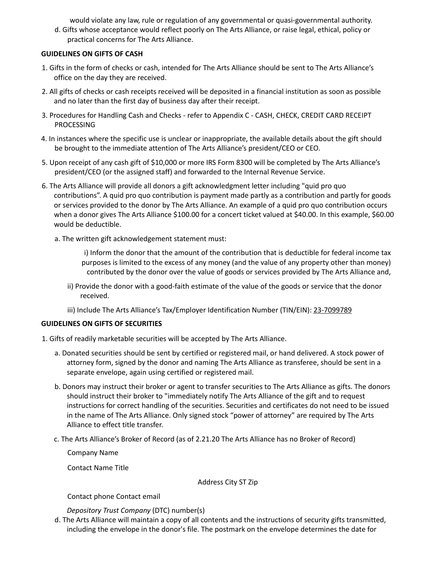would violate any law, rule or regulation of any governmental or quasi-governmental authority.

d. Gifts whose acceptance would reflect poorly on The Arts Alliance, or raise legal, ethical, policy or practical concerns for The Arts Alliance.

# **GUIDELINES ON GIFTS OF CASH**

- 1. Gifts in the form of checks or cash, intended for The Arts Alliance should be sent to The Arts Alliance's office on the day they are received.
- 2. All gifts of checks or cash receipts received will be deposited in a financial institution as soon as possible and no later than the first day of business day after their receipt.
- 3. Procedures for Handling Cash and Checks refer to Appendix C CASH, CHECK, CREDIT CARD RECEIPT PROCESSING
- 4. In instances where the specific use is unclear or inappropriate, the available details about the gift should be brought to the immediate attention of The Arts Alliance's president/CEO or CEO.
- 5. Upon receipt of any cash gift of \$10,000 or more IRS Form 8300 will be completed by The Arts Alliance's president/CEO (or the assigned staff) and forwarded to the Internal Revenue Service.
- 6. The Arts Alliance will provide all donors a gift acknowledgment letter including "quid pro quo contributions". A quid pro quo contribution is payment made partly as a contribution and partly for goods or services provided to the donor by The Arts Alliance. An example of a quid pro quo contribution occurs when a donor gives The Arts Alliance \$100.00 for a concert ticket valued at \$40.00. In this example, \$60.00 would be deductible.
	- a. The written gift acknowledgement statement must:

i) Inform the donor that the amount of the contribution that is deductible for federal income tax purposes is limited to the excess of any money (and the value of any property other than money) contributed by the donor over the value of goods or services provided by The Arts Alliance and,

- ii) Provide the donor with a good-faith estimate of the value of the goods or service that the donor received.
- iii) Include The Arts Alliance's Tax/Employer Identification Number (TIN/EIN): 23-7099789

# **GUIDELINES ON GIFTS OF SECURITIES**

- 1. Gifts of readily marketable securities will be accepted by The Arts Alliance.
	- a. Donated securities should be sent by certified or registered mail, or hand delivered. A stock power of attorney form, signed by the donor and naming The Arts Alliance as transferee, should be sent in a separate envelope, again using certified or registered mail.
	- b. Donors may instruct their broker or agent to transfer securities to The Arts Alliance as gifts. The donors should instruct their broker to "immediately notify The Arts Alliance of the gift and to request instructions for correct handling of the securities. Securities and certificates do not need to be issued in the name of The Arts Alliance. Only signed stock "power of attorney" are required by The Arts Alliance to effect title transfer.
	- c. The Arts Alliance's Broker of Record (as of 2.21.20 The Arts Alliance has no Broker of Record)

Company Name

Contact Name Title

Address City ST Zip

Contact phone Contact email

*Depository Trust Company* (DTC) number(s)

d. The Arts Alliance will maintain a copy of all contents and the instructions of security gifts transmitted, including the envelope in the donor's file. The postmark on the envelope determines the date for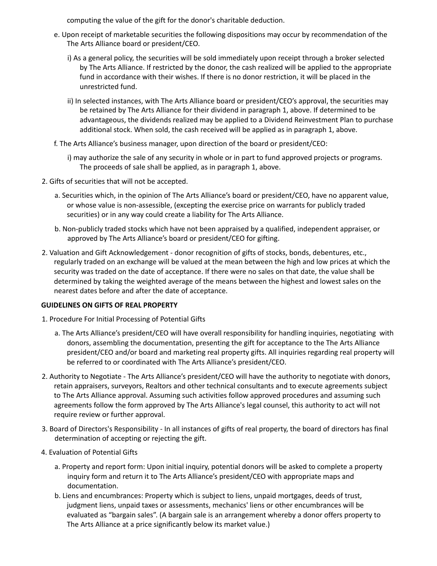computing the value of the gift for the donor's charitable deduction.

- e. Upon receipt of marketable securities the following dispositions may occur by recommendation of the The Arts Alliance board or president/CEO.
	- i) As a general policy, the securities will be sold immediately upon receipt through a broker selected by The Arts Alliance. If restricted by the donor, the cash realized will be applied to the appropriate fund in accordance with their wishes. If there is no donor restriction, it will be placed in the unrestricted fund.
	- ii) In selected instances, with The Arts Alliance board or president/CEO's approval, the securities may be retained by The Arts Alliance for their dividend in paragraph 1, above. If determined to be advantageous, the dividends realized may be applied to a Dividend Reinvestment Plan to purchase additional stock. When sold, the cash received will be applied as in paragraph 1, above.
- f. The Arts Alliance's business manager, upon direction of the board or president/CEO:
	- i) may authorize the sale of any security in whole or in part to fund approved projects or programs. The proceeds of sale shall be applied, as in paragraph 1, above.
- 2. Gifts of securities that will not be accepted.
	- a. Securities which, in the opinion of The Arts Alliance's board or president/CEO, have no apparent value, or whose value is non-assessible, (excepting the exercise price on warrants for publicly traded securities) or in any way could create a liability for The Arts Alliance.
	- b. Non-publicly traded stocks which have not been appraised by a qualified, independent appraiser, or approved by The Arts Alliance's board or president/CEO for gifting.
- 2. Valuation and Gift Acknowledgement donor recognition of gifts of stocks, bonds, debentures, etc., regularly traded on an exchange will be valued at the mean between the high and low prices at which the security was traded on the date of acceptance. If there were no sales on that date, the value shall be determined by taking the weighted average of the means between the highest and lowest sales on the nearest dates before and after the date of acceptance.

# **GUIDELINES ON GIFTS OF REAL PROPERTY**

- 1. Procedure For Initial Processing of Potential Gifts
	- a. The Arts Alliance's president/CEO will have overall responsibility for handling inquiries, negotiating with donors, assembling the documentation, presenting the gift for acceptance to the The Arts Alliance president/CEO and/or board and marketing real property gifts. All inquiries regarding real property will be referred to or coordinated with The Arts Alliance's president/CEO.
- 2. Authority to Negotiate The Arts Alliance's president/CEO will have the authority to negotiate with donors, retain appraisers, surveyors, Realtors and other technical consultants and to execute agreements subject to The Arts Alliance approval. Assuming such activities follow approved procedures and assuming such agreements follow the form approved by The Arts Alliance's legal counsel, this authority to act will not require review or further approval.
- 3. Board of Directors's Responsibility In all instances of gifts of real property, the board of directors has final determination of accepting or rejecting the gift.
- 4. Evaluation of Potential Gifts
	- a. Property and report form: Upon initial inquiry, potential donors will be asked to complete a property inquiry form and return it to The Arts Alliance's president/CEO with appropriate maps and documentation.
	- b. Liens and encumbrances: Property which is subject to liens, unpaid mortgages, deeds of trust, judgment liens, unpaid taxes or assessments, mechanics' liens or other encumbrances will be evaluated as "bargain sales". (A bargain sale is an arrangement whereby a donor offers property to The Arts Alliance at a price significantly below its market value.)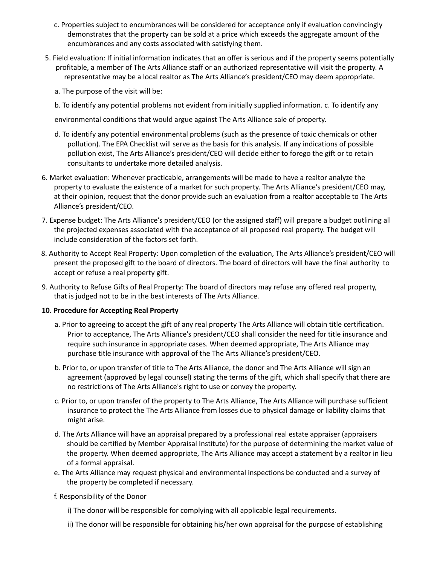- c. Properties subject to encumbrances will be considered for acceptance only if evaluation convincingly demonstrates that the property can be sold at a price which exceeds the aggregate amount of the encumbrances and any costs associated with satisfying them.
- 5. Field evaluation: If initial information indicates that an offer is serious and if the property seems potentially profitable, a member of The Arts Alliance staff or an authorized representative will visit the property. A representative may be a local realtor as The Arts Alliance's president/CEO may deem appropriate.
	- a. The purpose of the visit will be:
	- b. To identify any potential problems not evident from initially supplied information. c. To identify any

environmental conditions that would argue against The Arts Alliance sale of property.

- d. To identify any potential environmental problems (such as the presence of toxic chemicals or other pollution). The EPA Checklist will serve as the basis for this analysis. If any indications of possible pollution exist, The Arts Alliance's president/CEO will decide either to forego the gift or to retain consultants to undertake more detailed analysis.
- 6. Market evaluation: Whenever practicable, arrangements will be made to have a realtor analyze the property to evaluate the existence of a market for such property. The Arts Alliance's president/CEO may, at their opinion, request that the donor provide such an evaluation from a realtor acceptable to The Arts Alliance's president/CEO.
- 7. Expense budget: The Arts Alliance's president/CEO (or the assigned staff) will prepare a budget outlining all the projected expenses associated with the acceptance of all proposed real property. The budget will include consideration of the factors set forth.
- 8. Authority to Accept Real Property: Upon completion of the evaluation, The Arts Alliance's president/CEO will present the proposed gift to the board of directors. The board of directors will have the final authority to accept or refuse a real property gift.
- 9. Authority to Refuse Gifts of Real Property: The board of directors may refuse any offered real property, that is judged not to be in the best interests of The Arts Alliance.

# **10. Procedure for Accepting Real Property**

- a. Prior to agreeing to accept the gift of any real property The Arts Alliance will obtain title certification. Prior to acceptance, The Arts Alliance's president/CEO shall consider the need for title insurance and require such insurance in appropriate cases. When deemed appropriate, The Arts Alliance may purchase title insurance with approval of the The Arts Alliance's president/CEO.
- b. Prior to, or upon transfer of title to The Arts Alliance, the donor and The Arts Alliance will sign an agreement (approved by legal counsel) stating the terms of the gift, which shall specify that there are no restrictions of The Arts Alliance's right to use or convey the property.
- c. Prior to, or upon transfer of the property to The Arts Alliance, The Arts Alliance will purchase sufficient insurance to protect the The Arts Alliance from losses due to physical damage or liability claims that might arise.
- d. The Arts Alliance will have an appraisal prepared by a professional real estate appraiser (appraisers should be certified by Member Appraisal Institute) for the purpose of determining the market value of the property. When deemed appropriate, The Arts Alliance may accept a statement by a realtor in lieu of a formal appraisal.
- e. The Arts Alliance may request physical and environmental inspections be conducted and a survey of the property be completed if necessary.
- f. Responsibility of the Donor
	- i) The donor will be responsible for complying with all applicable legal requirements.
	- ii) The donor will be responsible for obtaining his/her own appraisal for the purpose of establishing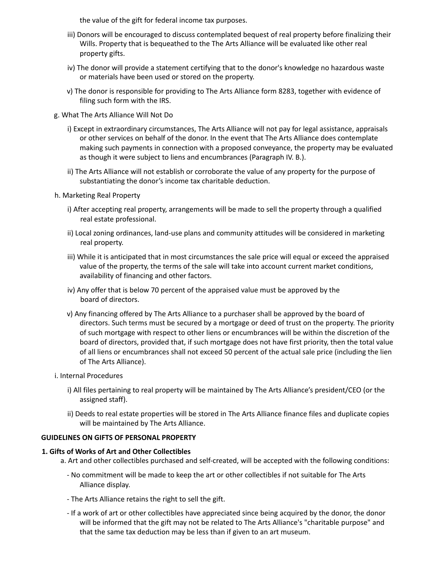the value of the gift for federal income tax purposes.

- iii) Donors will be encouraged to discuss contemplated bequest of real property before finalizing their Wills. Property that is bequeathed to the The Arts Alliance will be evaluated like other real property gifts.
- iv) The donor will provide a statement certifying that to the donor's knowledge no hazardous waste or materials have been used or stored on the property.
- v) The donor is responsible for providing to The Arts Alliance form 8283, together with evidence of filing such form with the IRS.
- g. What The Arts Alliance Will Not Do
	- i) Except in extraordinary circumstances, The Arts Alliance will not pay for legal assistance, appraisals or other services on behalf of the donor. In the event that The Arts Alliance does contemplate making such payments in connection with a proposed conveyance, the property may be evaluated as though it were subject to liens and encumbrances (Paragraph IV. B.).
	- ii) The Arts Alliance will not establish or corroborate the value of any property for the purpose of substantiating the donor's income tax charitable deduction.
- h. Marketing Real Property
	- i) After accepting real property, arrangements will be made to sell the property through a qualified real estate professional.
	- ii) Local zoning ordinances, land-use plans and community attitudes will be considered in marketing real property.
	- iii) While it is anticipated that in most circumstances the sale price will equal or exceed the appraised value of the property, the terms of the sale will take into account current market conditions, availability of financing and other factors.
	- iv) Any offer that is below 70 percent of the appraised value must be approved by the board of directors.
	- v) Any financing offered by The Arts Alliance to a purchaser shall be approved by the board of directors. Such terms must be secured by a mortgage or deed of trust on the property. The priority of such mortgage with respect to other liens or encumbrances will be within the discretion of the board of directors, provided that, if such mortgage does not have first priority, then the total value of all liens or encumbrances shall not exceed 50 percent of the actual sale price (including the lien of The Arts Alliance).
- i. Internal Procedures
	- i) All files pertaining to real property will be maintained by The Arts Alliance's president/CEO (or the assigned staff).
	- ii) Deeds to real estate properties will be stored in The Arts Alliance finance files and duplicate copies will be maintained by The Arts Alliance.

#### **GUIDELINES ON GIFTS OF PERSONAL PROPERTY**

#### **1. Gifts of Works of Art and Other Collectibles**

- a. Art and other collectibles purchased and self-created, will be accepted with the following conditions:
	- No commitment will be made to keep the art or other collectibles if not suitable for The Arts Alliance display.
	- The Arts Alliance retains the right to sell the gift.
	- If a work of art or other collectibles have appreciated since being acquired by the donor, the donor will be informed that the gift may not be related to The Arts Alliance's "charitable purpose" and that the same tax deduction may be less than if given to an art museum.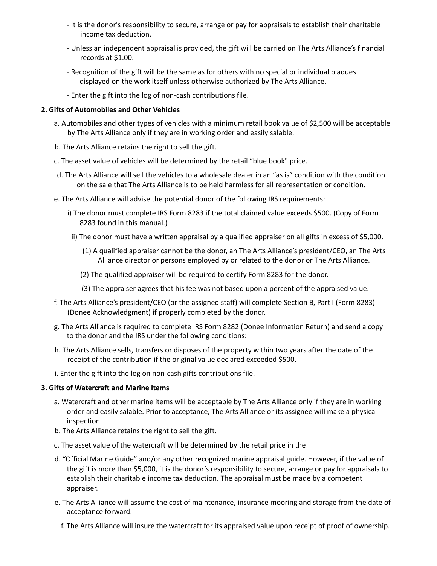- It is the donor's responsibility to secure, arrange or pay for appraisals to establish their charitable income tax deduction.
- Unless an independent appraisal is provided, the gift will be carried on The Arts Alliance's financial records at \$1.00.
- Recognition of the gift will be the same as for others with no special or individual plaques displayed on the work itself unless otherwise authorized by The Arts Alliance.
- Enter the gift into the log of non-cash contributions file.

## **2. Gifts of Automobiles and Other Vehicles**

- a. Automobiles and other types of vehicles with a minimum retail book value of \$2,500 will be acceptable by The Arts Alliance only if they are in working order and easily salable.
- b. The Arts Alliance retains the right to sell the gift.
- c. The asset value of vehicles will be determined by the retail "blue book" price.
- d. The Arts Alliance will sell the vehicles to a wholesale dealer in an "as is" condition with the condition on the sale that The Arts Alliance is to be held harmless for all representation or condition.
- e. The Arts Alliance will advise the potential donor of the following IRS requirements:
	- i) The donor must complete IRS Form 8283 if the total claimed value exceeds \$500. (Copy of Form 8283 found in this manual.)
	- ii) The donor must have a written appraisal by a qualified appraiser on all gifts in excess of \$5,000.
		- (1) A qualified appraiser cannot be the donor, an The Arts Alliance's president/CEO, an The Arts Alliance director or persons employed by or related to the donor or The Arts Alliance.
		- (2) The qualified appraiser will be required to certify Form 8283 for the donor.
		- (3) The appraiser agrees that his fee was not based upon a percent of the appraised value.
- f. The Arts Alliance's president/CEO (or the assigned staff) will complete Section B, Part I (Form 8283) (Donee Acknowledgment) if properly completed by the donor.
- g. The Arts Alliance is required to complete IRS Form 8282 (Donee Information Return) and send a copy to the donor and the IRS under the following conditions:
- h. The Arts Alliance sells, transfers or disposes of the property within two years after the date of the receipt of the contribution if the original value declared exceeded \$500.
- i. Enter the gift into the log on non-cash gifts contributions file.

#### **3. Gifts of Watercraft and Marine Items**

- a. Watercraft and other marine items will be acceptable by The Arts Alliance only if they are in working order and easily salable. Prior to acceptance, The Arts Alliance or its assignee will make a physical inspection.
- b. The Arts Alliance retains the right to sell the gift.
- c. The asset value of the watercraft will be determined by the retail price in the
- d. "Official Marine Guide" and/or any other recognized marine appraisal guide. However, if the value of the gift is more than \$5,000, it is the donor's responsibility to secure, arrange or pay for appraisals to establish their charitable income tax deduction. The appraisal must be made by a competent appraiser.
- e. The Arts Alliance will assume the cost of maintenance, insurance mooring and storage from the date of acceptance forward.
	- f. The Arts Alliance will insure the watercraft for its appraised value upon receipt of proof of ownership.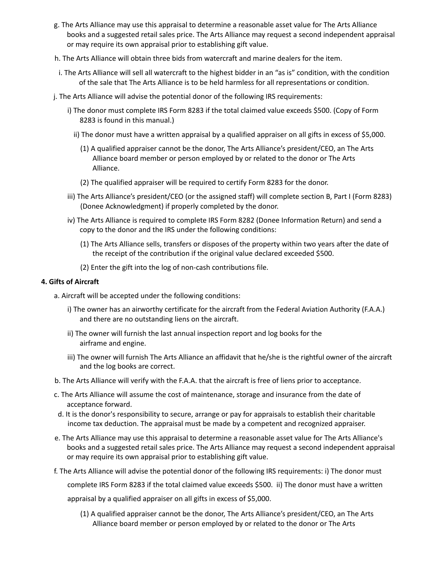- g. The Arts Alliance may use this appraisal to determine a reasonable asset value for The Arts Alliance books and a suggested retail sales price. The Arts Alliance may request a second independent appraisal or may require its own appraisal prior to establishing gift value.
- h. The Arts Alliance will obtain three bids from watercraft and marine dealers for the item.
- i. The Arts Alliance will sell all watercraft to the highest bidder in an "as is" condition, with the condition of the sale that The Arts Alliance is to be held harmless for all representations or condition.
- j. The Arts Alliance will advise the potential donor of the following IRS requirements:
	- i) The donor must complete IRS Form 8283 if the total claimed value exceeds \$500. (Copy of Form 8283 is found in this manual.)
		- ii) The donor must have a written appraisal by a qualified appraiser on all gifts in excess of \$5,000.
			- (1) A qualified appraiser cannot be the donor, The Arts Alliance's president/CEO, an The Arts Alliance board member or person employed by or related to the donor or The Arts Alliance.
			- (2) The qualified appraiser will be required to certify Form 8283 for the donor.
	- iii) The Arts Alliance's president/CEO (or the assigned staff) will complete section B, Part I (Form 8283) (Donee Acknowledgment) if properly completed by the donor.
	- iv) The Arts Alliance is required to complete IRS Form 8282 (Donee Information Return) and send a copy to the donor and the IRS under the following conditions:
		- (1) The Arts Alliance sells, transfers or disposes of the property within two years after the date of the receipt of the contribution if the original value declared exceeded \$500.
		- (2) Enter the gift into the log of non-cash contributions file.

## **4. Gifts of Aircraft**

- a. Aircraft will be accepted under the following conditions:
	- i) The owner has an airworthy certificate for the aircraft from the Federal Aviation Authority (F.A.A.) and there are no outstanding liens on the aircraft.
	- ii) The owner will furnish the last annual inspection report and log books for the airframe and engine.
	- iii) The owner will furnish The Arts Alliance an affidavit that he/she is the rightful owner of the aircraft and the log books are correct.
- b. The Arts Alliance will verify with the F.A.A. that the aircraft is free of liens prior to acceptance.
- c. The Arts Alliance will assume the cost of maintenance, storage and insurance from the date of acceptance forward.
- d. It is the donor's responsibility to secure, arrange or pay for appraisals to establish their charitable income tax deduction. The appraisal must be made by a competent and recognized appraiser.
- e. The Arts Alliance may use this appraisal to determine a reasonable asset value for The Arts Alliance's books and a suggested retail sales price. The Arts Alliance may request a second independent appraisal or may require its own appraisal prior to establishing gift value.
- f. The Arts Alliance will advise the potential donor of the following IRS requirements: i) The donor must

complete IRS Form 8283 if the total claimed value exceeds \$500. ii) The donor must have a written

appraisal by a qualified appraiser on all gifts in excess of \$5,000.

(1) A qualified appraiser cannot be the donor, The Arts Alliance's president/CEO, an The Arts Alliance board member or person employed by or related to the donor or The Arts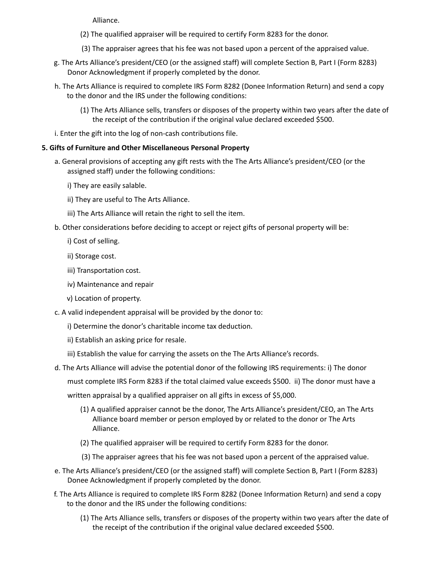Alliance.

- (2) The qualified appraiser will be required to certify Form 8283 for the donor.
- (3) The appraiser agrees that his fee was not based upon a percent of the appraised value.
- g. The Arts Alliance's president/CEO (or the assigned staff) will complete Section B, Part I (Form 8283) Donor Acknowledgment if properly completed by the donor.
- h. The Arts Alliance is required to complete IRS Form 8282 (Donee Information Return) and send a copy to the donor and the IRS under the following conditions:
	- (1) The Arts Alliance sells, transfers or disposes of the property within two years after the date of the receipt of the contribution if the original value declared exceeded \$500.
- i. Enter the gift into the log of non-cash contributions file.

## **5. Gifts of Furniture and Other Miscellaneous Personal Property**

- a. General provisions of accepting any gift rests with the The Arts Alliance's president/CEO (or the assigned staff) under the following conditions:
	- i) They are easily salable.
	- ii) They are useful to The Arts Alliance.
	- iii) The Arts Alliance will retain the right to sell the item.
- b. Other considerations before deciding to accept or reject gifts of personal property will be:
	- i) Cost of selling.
	- ii) Storage cost.
	- iii) Transportation cost.
	- iv) Maintenance and repair
	- v) Location of property.
- c. A valid independent appraisal will be provided by the donor to:
	- i) Determine the donor's charitable income tax deduction.
	- ii) Establish an asking price for resale.
	- iii) Establish the value for carrying the assets on the The Arts Alliance's records.
- d. The Arts Alliance will advise the potential donor of the following IRS requirements: i) The donor must complete IRS Form 8283 if the total claimed value exceeds \$500. ii) The donor must have a
	- written appraisal by a qualified appraiser on all gifts in excess of \$5,000.
		- (1) A qualified appraiser cannot be the donor, The Arts Alliance's president/CEO, an The Arts Alliance board member or person employed by or related to the donor or The Arts Alliance.
		- (2) The qualified appraiser will be required to certify Form 8283 for the donor.
		- (3) The appraiser agrees that his fee was not based upon a percent of the appraised value.
- e. The Arts Alliance's president/CEO (or the assigned staff) will complete Section B, Part I (Form 8283) Donee Acknowledgment if properly completed by the donor.
- f. The Arts Alliance is required to complete IRS Form 8282 (Donee Information Return) and send a copy to the donor and the IRS under the following conditions:
	- (1) The Arts Alliance sells, transfers or disposes of the property within two years after the date of the receipt of the contribution if the original value declared exceeded \$500.